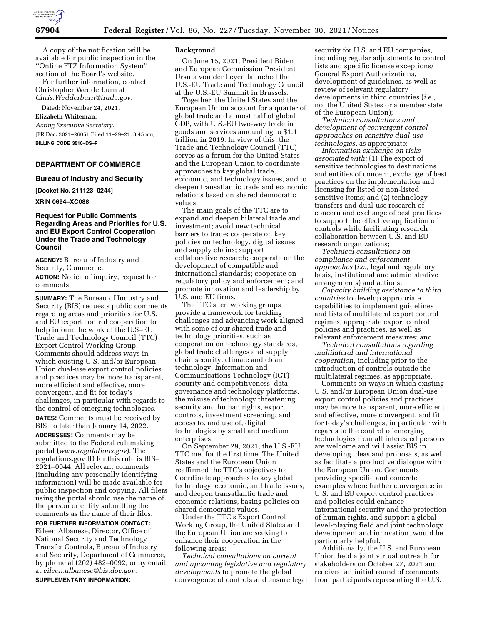

A copy of the notification will be available for public inspection in the ''Online FTZ Information System'' section of the Board's website.

For further information, contact Christopher Wedderburn at *[Chris.Wedderburn@trade.gov.](mailto:Chris.Wedderburn@trade.gov)* 

Dated: November 24, 2021.

### **Elizabeth Whiteman,**

*Acting Executive Secretary.*  [FR Doc. 2021–26051 Filed 11–29–21; 8:45 am] **BILLING CODE 3510–DS–P** 

# **DEPARTMENT OF COMMERCE**

### **Bureau of Industry and Security**

**[Docket No. 211123–0244]** 

### **XRIN 0694–XC088**

# **Request for Public Comments Regarding Areas and Priorities for U.S. and EU Export Control Cooperation Under the Trade and Technology Council**

**AGENCY:** Bureau of Industry and Security, Commerce.

**ACTION:** Notice of inquiry, request for comments.

**SUMMARY:** The Bureau of Industry and Security (BIS) requests public comments regarding areas and priorities for U.S. and EU export control cooperation to help inform the work of the U.S–EU Trade and Technology Council (TTC) Export Control Working Group. Comments should address ways in which existing U.S. and/or European Union dual-use export control policies and practices may be more transparent, more efficient and effective, more convergent, and fit for today's challenges, in particular with regards to the control of emerging technologies. **DATES:** Comments must be received by

BIS no later than January 14, 2022. **ADDRESSES:** Comments may be submitted to the Federal rulemaking portal (*[www.regulations.gov](http://www.regulations.gov)*). The regulations.gov ID for this rule is BIS– 2021–0044. All relevant comments (including any personally identifying information) will be made available for public inspection and copying. All filers using the portal should use the name of the person or entity submitting the comments as the name of their files.

**FOR FURTHER INFORMATION CONTACT:**  Eileen Albanese, Director, Office of National Security and Technology Transfer Controls, Bureau of Industry and Security, Department of Commerce, by phone at (202) 482–0092, or by email at *[eileen.albanese@bis.doc.gov.](mailto:eileen.albanese@bis.doc.gov)*  **SUPPLEMENTARY INFORMATION:** 

### **Background**

On June 15, 2021, President Biden and European Commission President Ursula von der Leyen launched the U.S.-EU Trade and Technology Council at the U.S.-EU Summit in Brussels.

Together, the United States and the European Union account for a quarter of global trade and almost half of global GDP, with U.S.-EU two-way trade in goods and services amounting to \$1.1 trillion in 2019. In view of this, the Trade and Technology Council (TTC) serves as a forum for the United States and the European Union to coordinate approaches to key global trade, economic, and technology issues, and to deepen transatlantic trade and economic relations based on shared democratic values.

The main goals of the TTC are to expand and deepen bilateral trade and investment; avoid new technical barriers to trade; cooperate on key policies on technology, digital issues and supply chains; support collaborative research; cooperate on the development of compatible and international standards; cooperate on regulatory policy and enforcement; and promote innovation and leadership by U.S. and EU firms.

The TTC's ten working groups provide a framework for tackling challenges and advancing work aligned with some of our shared trade and technology priorities, such as cooperation on technology standards, global trade challenges and supply chain security, climate and clean technology, Information and Communications Technology (ICT) security and competitiveness, data governance and technology platforms, the misuse of technology threatening security and human rights, export controls, investment screening, and access to, and use of, digital technologies by small and medium enterprises.

On September 29, 2021, the U.S.-EU TTC met for the first time. The United States and the European Union reaffirmed the TTC's objectives to: Coordinate approaches to key global technology, economic, and trade issues; and deepen transatlantic trade and economic relations, basing policies on shared democratic values.

Under the TTC's Export Control Working Group, the United States and the European Union are seeking to enhance their cooperation in the following areas:

*Technical consultations on current and upcoming legislative and regulatory developments* to promote the global convergence of controls and ensure legal

security for U.S. and EU companies, including regular adjustments to control lists and specific license exceptions/ General Export Authorizations, development of guidelines, as well as review of relevant regulatory developments in third countries (*i.e.,*  not the United States or a member state of the European Union);

*Technical consultations and development of convergent control approaches on sensitive dual-use technologies*, as appropriate;

*Information exchange on risks associated with:* (1) The export of sensitive technologies to destinations and entities of concern, exchange of best practices on the implementation and licensing for listed or non-listed sensitive items; and (2) technology transfers and dual-use research of concern and exchange of best practices to support the effective application of controls while facilitating research collaboration between U.S. and EU research organizations;

*Technical consultations on compliance and enforcement approaches* (*i.e.,* legal and regulatory basis, institutional and administrative arrangements) and actions;

*Capacity building assistance to third countries* to develop appropriate capabilities to implement guidelines and lists of multilateral export control regimes, appropriate export control policies and practices, as well as relevant enforcement measures; and

*Technical consultations regarding multilateral and international cooperation*, including prior to the introduction of controls outside the multilateral regimes, as appropriate.

Comments on ways in which existing U.S. and/or European Union dual-use export control policies and practices may be more transparent, more efficient and effective, more convergent, and fit for today's challenges, in particular with regards to the control of emerging technologies from all interested persons are welcome and will assist BIS in developing ideas and proposals, as well as facilitate a productive dialogue with the European Union. Comments providing specific and concrete examples where further convergence in U.S. and EU export control practices and policies could enhance international security and the protection of human rights, and support a global level-playing field and joint technology development and innovation, would be particularly helpful.

Additionally, the U.S. and European Union held a joint virtual outreach for stakeholders on October 27, 2021 and received an initial round of comments from participants representing the U.S.